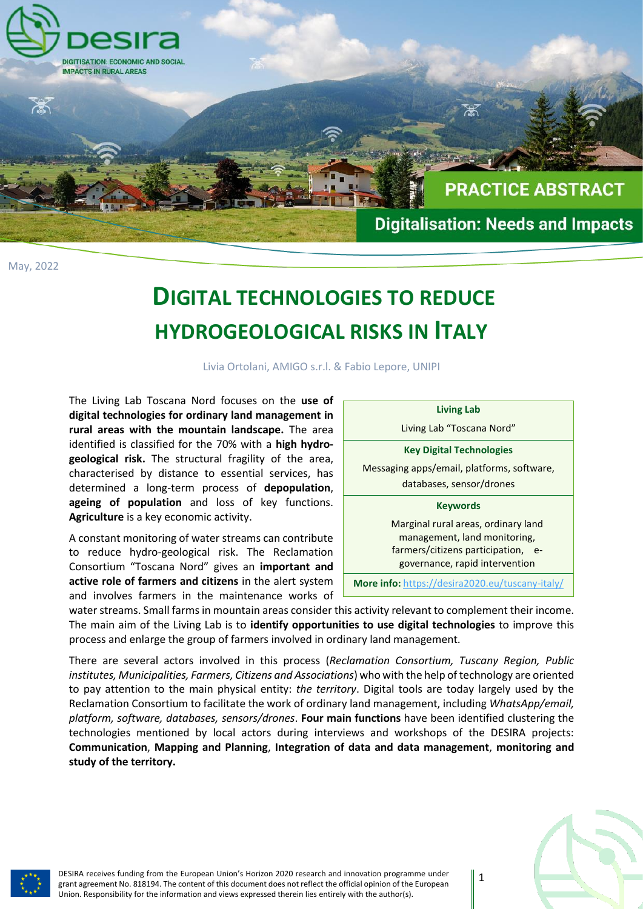

May, 2022

## **DIGITAL TECHNOLOGIES TO REDUCE HYDROGEOLOGICAL RISKS IN ITALY**

Livia Ortolani, AMIGO s.r.l. & Fabio Lepore, UNIPI

The Living Lab Toscana Nord focuses on the **use of digital technologies for ordinary land management in rural areas with the mountain landscape.** The area identified is classified for the 70% with a **high hydrogeological risk.** The structural fragility of the area, characterised by distance to essential services, has determined a long-term process of **depopulation**, **ageing of population** and loss of key functions. **Agriculture** is a key economic activity.

A constant monitoring of water streams can contribute to reduce hydro-geological risk. The Reclamation Consortium "Toscana Nord" gives an **important and active role of farmers and citizens** in the alert system and involves farmers in the maintenance works of



water streams. Small farms in mountain areas consider this activity relevant to complement their income. The main aim of the Living Lab is to **identify opportunities to use digital technologies** to improve this process and enlarge the group of farmers involved in ordinary land management.

There are several actors involved in this process (*Reclamation Consortium, Tuscany Region, Public institutes, Municipalities, Farmers, Citizens and Associations*) who with the help of technology are oriented to pay attention to the main physical entity: *the territory*. Digital tools are today largely used by the Reclamation Consortium to facilitate the work of ordinary land management, including *WhatsApp/email, platform, software, databases, sensors/drones*. **Four main functions** have been identified clustering the technologies mentioned by local actors during interviews and workshops of the DESIRA projects: **Communication**, **Mapping and Planning**, **Integration of data and data management**, **monitoring and study of the territory.**



DESIRA receives funding from the European Union's Horizon 2020 research and innovation programme under grant agreement No. 818194. The content of this document does not reflect the official opinion of the European Union. Responsibility for the information and views expressed therein lies entirely with the author(s).